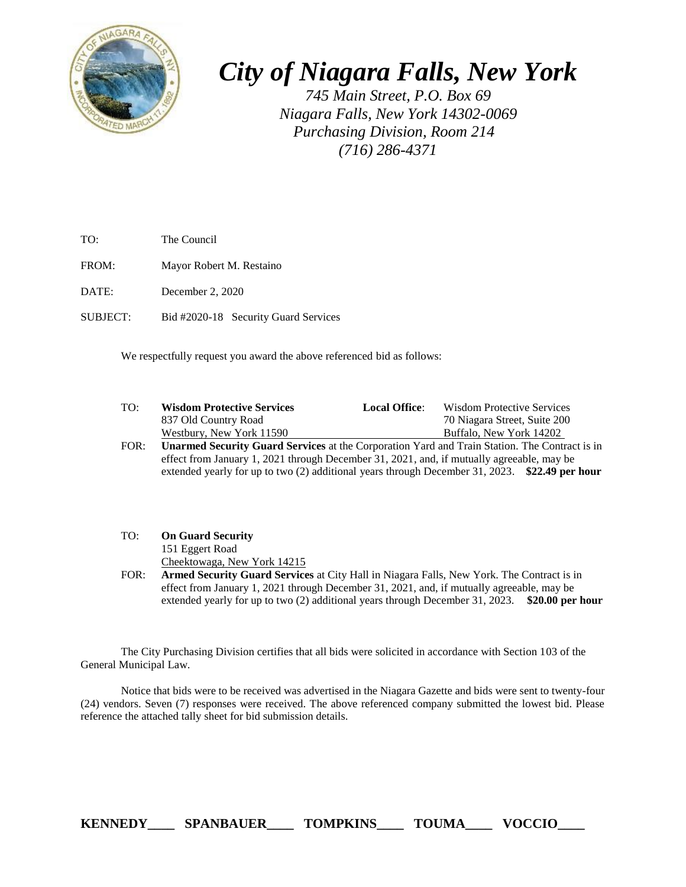

*City of Niagara Falls, New York*

*745 Main Street, P.O. Box 69 Niagara Falls, New York 14302-0069 Purchasing Division, Room 214 (716) 286-4371*

TO: The Council

FROM: Mayor Robert M. Restaino

DATE: December 2, 2020

SUBJECT: Bid #2020-18 Security Guard Services

We respectfully request you award the above referenced bid as follows:

| TO:  | <b>Wisdom Protective Services</b>                                                                    | <b>Local Office:</b> | Wisdom Protective Services   |
|------|------------------------------------------------------------------------------------------------------|----------------------|------------------------------|
|      | 837 Old Country Road                                                                                 |                      | 70 Niagara Street, Suite 200 |
|      | Westbury, New York 11590                                                                             |                      | Buffalo, New York 14202      |
| EOD. | <b>I</b> Ingmual Consulty Croud Courtess of the Compution Vend and Train Station. The Contract is in |                      |                              |

FOR: **Unarmed Security Guard Services** at the Corporation Yard and Train Station. The Contract is in effect from January 1, 2021 through December 31, 2021, and, if mutually agreeable, may be extended yearly for up to two (2) additional years through December 31, 2023. **\$22.49 per hour**

- TO: **On Guard Security** 151 Eggert Road Cheektowaga, New York 14215
- FOR: **Armed Security Guard Services** at City Hall in Niagara Falls, New York. The Contract is in effect from January 1, 2021 through December 31, 2021, and, if mutually agreeable, may be extended yearly for up to two (2) additional years through December 31, 2023. **\$20.00 per hour**

The City Purchasing Division certifies that all bids were solicited in accordance with Section 103 of the General Municipal Law.

Notice that bids were to be received was advertised in the Niagara Gazette and bids were sent to twenty-four (24) vendors. Seven (7) responses were received. The above referenced company submitted the lowest bid. Please reference the attached tally sheet for bid submission details.

**KENNEDY\_\_\_\_ SPANBAUER\_\_\_\_ TOMPKINS\_\_\_\_ TOUMA\_\_\_\_ VOCCIO\_\_\_\_**